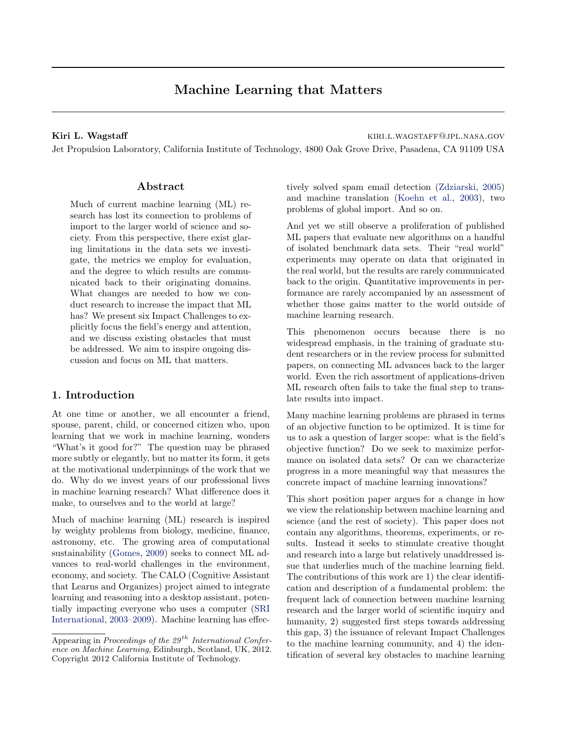# Machine Learning that Matters

#### Kiri L. Wagstaff kiri. wagstaff kiri. wagstaff kiri. wagstaff kiri. wagstaff kiri. wagstaff kiri. wagstaff kiri

Jet Propulsion Laboratory, California Institute of Technology, 4800 Oak Grove Drive, Pasadena, CA 91109 USA

## Abstract

Much of current machine learning (ML) research has lost its connection to problems of import to the larger world of science and society. From this perspective, there exist glaring limitations in the data sets we investigate, the metrics we employ for evaluation, and the degree to which results are communicated back to their originating domains. What changes are needed to how we conduct research to increase the impact that ML has? We present six Impact Challenges to explicitly focus the field's energy and attention, and we discuss existing obstacles that must be addressed. We aim to inspire ongoing discussion and focus on ML that matters.

## 1. Introduction

At one time or another, we all encounter a friend, spouse, parent, child, or concerned citizen who, upon learning that we work in machine learning, wonders "What's it good for?" The question may be phrased more subtly or elegantly, but no matter its form, it gets at the motivational underpinnings of the work that we do. Why do we invest years of our professional lives in machine learning research? What difference does it make, to ourselves and to the world at large?

Much of machine learning (ML) research is inspired by weighty problems from biology, medicine, finance, astronomy, etc. The growing area of computational sustainability [\(Gomes,](#page-5-0) [2009\)](#page-5-0) seeks to connect ML advances to real-world challenges in the environment, economy, and society. The CALO (Cognitive Assistant that Learns and Organizes) project aimed to integrate learning and reasoning into a desktop assistant, potentially impacting everyone who uses a computer [\(SRI](#page-5-0) [International,](#page-5-0) [2003–2009\)](#page-5-0). Machine learning has effec-

tively solved spam email detection [\(Zdziarski,](#page-5-0) [2005\)](#page-5-0) and machine translation [\(Koehn et al.,](#page-5-0) [2003\)](#page-5-0), two problems of global import. And so on.

And yet we still observe a proliferation of published ML papers that evaluate new algorithms on a handful of isolated benchmark data sets. Their "real world" experiments may operate on data that originated in the real world, but the results are rarely communicated back to the origin. Quantitative improvements in performance are rarely accompanied by an assessment of whether those gains matter to the world outside of machine learning research.

This phenomenon occurs because there is no widespread emphasis, in the training of graduate student researchers or in the review process for submitted papers, on connecting ML advances back to the larger world. Even the rich assortment of applications-driven ML research often fails to take the final step to translate results into impact.

Many machine learning problems are phrased in terms of an objective function to be optimized. It is time for us to ask a question of larger scope: what is the field's objective function? Do we seek to maximize performance on isolated data sets? Or can we characterize progress in a more meaningful way that measures the concrete impact of machine learning innovations?

This short position paper argues for a change in how we view the relationship between machine learning and science (and the rest of society). This paper does not contain any algorithms, theorems, experiments, or results. Instead it seeks to stimulate creative thought and research into a large but relatively unaddressed issue that underlies much of the machine learning field. The contributions of this work are 1) the clear identification and description of a fundamental problem: the frequent lack of connection between machine learning research and the larger world of scientific inquiry and humanity, 2) suggested first steps towards addressing this gap, 3) the issuance of relevant Impact Challenges to the machine learning community, and 4) the identification of several key obstacles to machine learning

Appearing in Proceedings of the  $29<sup>th</sup> International Confer$ ence on Machine Learning, Edinburgh, Scotland, UK, 2012. Copyright 2012 California Institute of Technology.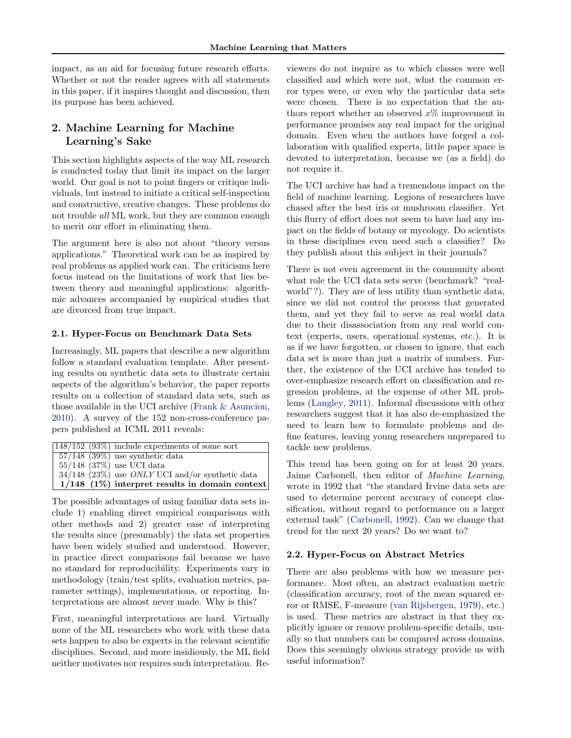impact, as an aid for focusing future research efforts. Whether or not the reader agrees with all statements in this paper, if it inspires thought and discussion, then its purpose has been achieved.

## 2. Machine Learning for Machine Learning's Sake

This section highlights aspects of the way ML research is conducted today that limit its impact on the larger world. Our goal is not to point fingers or critique individuals, but instead to initiate a critical self-inspection and constructive, creative changes. These problems do not trouble all ML work, but they are common enough to merit our effort in eliminating them.

The argument here is also not about "theory versus applications." Theoretical work can be as inspired by real problems as applied work can. The criticisms here focus instead on the limitations of work that lies between theory and meaningful applications: algorithmic advances accompanied by empirical studies that are divorced from true impact.

## 2.1. Hyper-Focus on Benchmark Data Sets

Increasingly, ML papers that describe a new algorithm follow a standard evaluation template. After presenting results on synthetic data sets to illustrate certain aspects of the algorithm's behavior, the paper reports results on a collection of standard data sets, such as those available in the UCI archive [\(Frank & Asuncion,](#page-5-0) [2010\)](#page-5-0). A survey of the 152 non-cross-conference papers published at ICML 2011 reveals:

|  | $\sqrt{148/152}$ (93%) include experiments of some sort  |
|--|----------------------------------------------------------|
|  | $\sqrt{57/148}$ (39%) use synthetic data                 |
|  | $55/148$ (37%) use UCI data                              |
|  | $34/148$ (23%) use <i>ONLY</i> UCI and/or synthetic data |
|  | $1/148$ (1%) interpret results in domain context         |

The possible advantages of using familiar data sets include 1) enabling direct empirical comparisons with other methods and 2) greater ease of interpreting the results since (presumably) the data set properties have been widely studied and understood. However, in practice direct comparisons fail because we have no standard for reproducibility. Experiments vary in methodology (train/test splits, evaluation metrics, parameter settings), implementations, or reporting. Interpretations are almost never made. Why is this?

First, meaningful interpretations are hard. Virtually none of the ML researchers who work with these data sets happen to also be experts in the relevant scientific disciplines. Second, and more insidiously, the ML field neither motivates nor requires such interpretation. Re-

viewers do not inquire as to which classes were well classified and which were not, what the common error types were, or even why the particular data sets were chosen. There is no expectation that the authors report whether an observed  $x\%$  improvement in performance promises any real impact for the original domain. Even when the authors have forged a collaboration with qualified experts, little paper space is devoted to interpretation, because we (as a field) do not require it.

The UCI archive has had a tremendous impact on the field of machine learning. Legions of researchers have chased after the best iris or mushroom classifier. Yet this flurry of effort does not seem to have had any impact on the fields of botany or mycology. Do scientists in these disciplines even need such a classifier? Do they publish about this subject in their journals?

There is not even agreement in the community about what role the UCI data sets serve (benchmark? "realworld"?). They are of less utility than synthetic data, since we did not control the process that generated them, and yet they fail to serve as real world data due to their disassociation from any real world context (experts, users, operational systems, etc.). It is as if we have forgotten, or chosen to ignore, that each data set is more than just a matrix of numbers. Further, the existence of the UCI archive has tended to over-emphasize research effort on classification and regression problems, at the expense of other ML problems [\(Langley,](#page-5-0) [2011\)](#page-5-0). Informal discussions with other researchers suggest that it has also de-emphasized the need to learn how to formulate problems and define features, leaving young researchers unprepared to tackle new problems.

This trend has been going on for at least 20 years. Jaime Carbonell, then editor of Machine Learning, wrote in 1992 that "the standard Irvine data sets are used to determine percent accuracy of concept classification, without regard to performance on a larger external task" [\(Carbonell,](#page-5-0) [1992\)](#page-5-0). Can we change that trend for the next 20 years? Do we want to?

## 2.2. Hyper-Focus on Abstract Metrics

There are also problems with how we measure performance. Most often, an abstract evaluation metric (classification accuracy, root of the mean squared error or RMSE, F-measure [\(van Rijsbergen,](#page-5-0) [1979\)](#page-5-0), etc.) is used. These metrics are abstract in that they explicitly ignore or remove problem-specific details, usually so that numbers can be compared across domains. Does this seemingly obvious strategy provide us with useful information?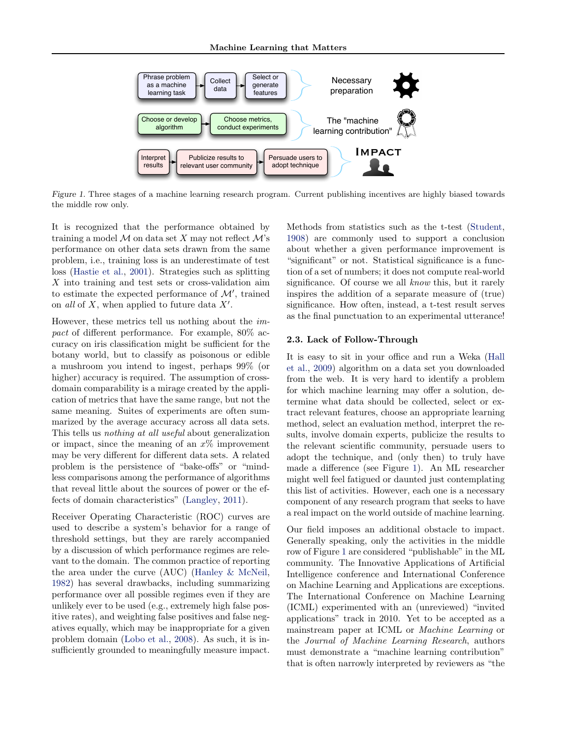<span id="page-2-0"></span>

Figure 1. Three stages of a machine learning research program. Current publishing incentives are highly biased towards the middle row only.

It is recognized that the performance obtained by training a model  $\mathcal M$  on data set X may not reflect  $\mathcal M$ 's performance on other data sets drawn from the same problem, i.e., training loss is an underestimate of test loss [\(Hastie et al.,](#page-5-0) [2001\)](#page-5-0). Strategies such as splitting X into training and test sets or cross-validation aim to estimate the expected performance of  $\mathcal{M}'$ , trained on all of  $X$ , when applied to future data  $X'$ .

However, these metrics tell us nothing about the impact of different performance. For example, 80% accuracy on iris classification might be sufficient for the botany world, but to classify as poisonous or edible a mushroom you intend to ingest, perhaps 99% (or higher) accuracy is required. The assumption of crossdomain comparability is a mirage created by the application of metrics that have the same range, but not the same meaning. Suites of experiments are often summarized by the average accuracy across all data sets. This tells us nothing at all useful about generalization or impact, since the meaning of an  $x\%$  improvement may be very different for different data sets. A related problem is the persistence of "bake-offs" or "mindless comparisons among the performance of algorithms that reveal little about the sources of power or the effects of domain characteristics" [\(Langley,](#page-5-0) [2011\)](#page-5-0).

Receiver Operating Characteristic (ROC) curves are used to describe a system's behavior for a range of threshold settings, but they are rarely accompanied by a discussion of which performance regimes are relevant to the domain. The common practice of reporting the area under the curve (AUC) [\(Hanley & McNeil,](#page-5-0) [1982\)](#page-5-0) has several drawbacks, including summarizing performance over all possible regimes even if they are unlikely ever to be used (e.g., extremely high false positive rates), and weighting false positives and false negatives equally, which may be inappropriate for a given problem domain [\(Lobo et al.,](#page-5-0) [2008\)](#page-5-0). As such, it is insufficiently grounded to meaningfully measure impact. Methods from statistics such as the t-test [\(Student,](#page-5-0) [1908\)](#page-5-0) are commonly used to support a conclusion about whether a given performance improvement is "significant" or not. Statistical significance is a function of a set of numbers; it does not compute real-world significance. Of course we all know this, but it rarely inspires the addition of a separate measure of (true) significance. How often, instead, a t-test result serves as the final punctuation to an experimental utterance!

#### 2.3. Lack of Follow-Through

It is easy to sit in your office and run a Weka [\(Hall](#page-5-0) [et al.,](#page-5-0) [2009\)](#page-5-0) algorithm on a data set you downloaded from the web. It is very hard to identify a problem for which machine learning may offer a solution, determine what data should be collected, select or extract relevant features, choose an appropriate learning method, select an evaluation method, interpret the results, involve domain experts, publicize the results to the relevant scientific community, persuade users to adopt the technique, and (only then) to truly have made a difference (see Figure 1). An ML researcher might well feel fatigued or daunted just contemplating this list of activities. However, each one is a necessary component of any research program that seeks to have a real impact on the world outside of machine learning.

Our field imposes an additional obstacle to impact. Generally speaking, only the activities in the middle row of Figure 1 are considered "publishable" in the ML community. The Innovative Applications of Artificial Intelligence conference and International Conference on Machine Learning and Applications are exceptions. The International Conference on Machine Learning (ICML) experimented with an (unreviewed) "invited applications" track in 2010. Yet to be accepted as a mainstream paper at ICML or Machine Learning or the Journal of Machine Learning Research, authors must demonstrate a "machine learning contribution" that is often narrowly interpreted by reviewers as "the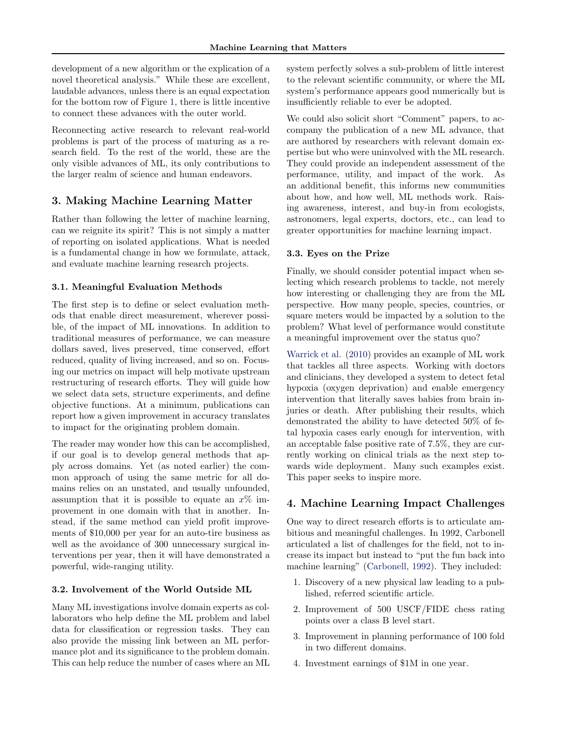development of a new algorithm or the explication of a novel theoretical analysis." While these are excellent, laudable advances, unless there is an equal expectation for the bottom row of Figure [1,](#page-2-0) there is little incentive to connect these advances with the outer world.

Reconnecting active research to relevant real-world problems is part of the process of maturing as a research field. To the rest of the world, these are the only visible advances of ML, its only contributions to the larger realm of science and human endeavors.

## 3. Making Machine Learning Matter

Rather than following the letter of machine learning, can we reignite its spirit? This is not simply a matter of reporting on isolated applications. What is needed is a fundamental change in how we formulate, attack, and evaluate machine learning research projects.

## 3.1. Meaningful Evaluation Methods

The first step is to define or select evaluation methods that enable direct measurement, wherever possible, of the impact of ML innovations. In addition to traditional measures of performance, we can measure dollars saved, lives preserved, time conserved, effort reduced, quality of living increased, and so on. Focusing our metrics on impact will help motivate upstream restructuring of research efforts. They will guide how we select data sets, structure experiments, and define objective functions. At a minimum, publications can report how a given improvement in accuracy translates to impact for the originating problem domain.

The reader may wonder how this can be accomplished, if our goal is to develop general methods that apply across domains. Yet (as noted earlier) the common approach of using the same metric for all domains relies on an unstated, and usually unfounded, assumption that it is possible to equate an  $x\%$  improvement in one domain with that in another. Instead, if the same method can yield profit improvements of \$10,000 per year for an auto-tire business as well as the avoidance of 300 unnecessary surgical interventions per year, then it will have demonstrated a powerful, wide-ranging utility.

## 3.2. Involvement of the World Outside ML

Many ML investigations involve domain experts as collaborators who help define the ML problem and label data for classification or regression tasks. They can also provide the missing link between an ML performance plot and its significance to the problem domain. This can help reduce the number of cases where an ML system perfectly solves a sub-problem of little interest to the relevant scientific community, or where the ML system's performance appears good numerically but is insufficiently reliable to ever be adopted.

We could also solicit short "Comment" papers, to accompany the publication of a new ML advance, that are authored by researchers with relevant domain expertise but who were uninvolved with the ML research. They could provide an independent assessment of the performance, utility, and impact of the work. As an additional benefit, this informs new communities about how, and how well, ML methods work. Raising awareness, interest, and buy-in from ecologists, astronomers, legal experts, doctors, etc., can lead to greater opportunities for machine learning impact.

## 3.3. Eyes on the Prize

Finally, we should consider potential impact when selecting which research problems to tackle, not merely how interesting or challenging they are from the ML perspective. How many people, species, countries, or square meters would be impacted by a solution to the problem? What level of performance would constitute a meaningful improvement over the status quo?

[Warrick et al.](#page-5-0) [\(2010\)](#page-5-0) provides an example of ML work that tackles all three aspects. Working with doctors and clinicians, they developed a system to detect fetal hypoxia (oxygen deprivation) and enable emergency intervention that literally saves babies from brain injuries or death. After publishing their results, which demonstrated the ability to have detected 50% of fetal hypoxia cases early enough for intervention, with an acceptable false positive rate of 7.5%, they are currently working on clinical trials as the next step towards wide deployment. Many such examples exist. This paper seeks to inspire more.

## 4. Machine Learning Impact Challenges

One way to direct research efforts is to articulate ambitious and meaningful challenges. In 1992, Carbonell articulated a list of challenges for the field, not to increase its impact but instead to "put the fun back into machine learning" [\(Carbonell,](#page-5-0) [1992\)](#page-5-0). They included:

- 1. Discovery of a new physical law leading to a published, referred scientific article.
- 2. Improvement of 500 USCF/FIDE chess rating points over a class B level start.
- 3. Improvement in planning performance of 100 fold in two different domains.
- 4. Investment earnings of \$1M in one year.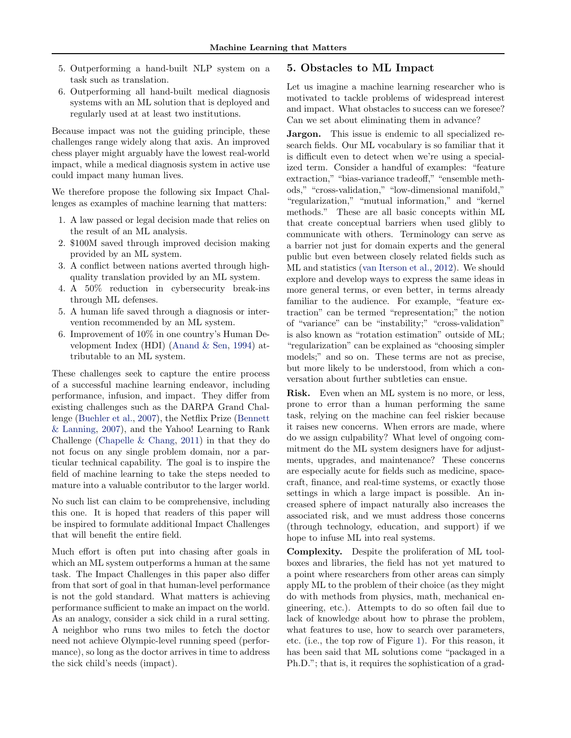- 5. Outperforming a hand-built NLP system on a task such as translation.
- 6. Outperforming all hand-built medical diagnosis systems with an ML solution that is deployed and regularly used at at least two institutions.

Because impact was not the guiding principle, these challenges range widely along that axis. An improved chess player might arguably have the lowest real-world impact, while a medical diagnosis system in active use could impact many human lives.

We therefore propose the following six Impact Challenges as examples of machine learning that matters:

- 1. A law passed or legal decision made that relies on the result of an ML analysis.
- 2. \$100M saved through improved decision making provided by an ML system.
- 3. A conflict between nations averted through highquality translation provided by an ML system.
- 4. A 50% reduction in cybersecurity break-ins through ML defenses.
- 5. A human life saved through a diagnosis or intervention recommended by an ML system.
- 6. Improvement of 10% in one country's Human Development Index (HDI) [\(Anand & Sen,](#page-5-0) [1994\)](#page-5-0) attributable to an ML system.

These challenges seek to capture the entire process of a successful machine learning endeavor, including performance, infusion, and impact. They differ from existing challenges such as the DARPA Grand Challenge [\(Buehler et al.,](#page-5-0) [2007\)](#page-5-0), the Netflix Prize [\(Bennett](#page-5-0) [& Lanning,](#page-5-0) [2007\)](#page-5-0), and the Yahoo! Learning to Rank Challenge [\(Chapelle & Chang,](#page-5-0) [2011\)](#page-5-0) in that they do not focus on any single problem domain, nor a particular technical capability. The goal is to inspire the field of machine learning to take the steps needed to mature into a valuable contributor to the larger world.

No such list can claim to be comprehensive, including this one. It is hoped that readers of this paper will be inspired to formulate additional Impact Challenges that will benefit the entire field.

Much effort is often put into chasing after goals in which an ML system outperforms a human at the same task. The Impact Challenges in this paper also differ from that sort of goal in that human-level performance is not the gold standard. What matters is achieving performance sufficient to make an impact on the world. As an analogy, consider a sick child in a rural setting. A neighbor who runs two miles to fetch the doctor need not achieve Olympic-level running speed (performance), so long as the doctor arrives in time to address the sick child's needs (impact).

#### 5. Obstacles to ML Impact

Let us imagine a machine learning researcher who is motivated to tackle problems of widespread interest and impact. What obstacles to success can we foresee? Can we set about eliminating them in advance?

Jargon. This issue is endemic to all specialized research fields. Our ML vocabulary is so familiar that it is difficult even to detect when we're using a specialized term. Consider a handful of examples: "feature extraction," "bias-variance tradeoff," "ensemble methods," "cross-validation," "low-dimensional manifold," "regularization," "mutual information," and "kernel methods." These are all basic concepts within ML that create conceptual barriers when used glibly to communicate with others. Terminology can serve as a barrier not just for domain experts and the general public but even between closely related fields such as ML and statistics [\(van Iterson et al.,](#page-5-0) [2012\)](#page-5-0). We should explore and develop ways to express the same ideas in more general terms, or even better, in terms already familiar to the audience. For example, "feature extraction" can be termed "representation;" the notion of "variance" can be "instability;" "cross-validation" is also known as "rotation estimation" outside of ML; "regularization" can be explained as "choosing simpler models;" and so on. These terms are not as precise, but more likely to be understood, from which a conversation about further subtleties can ensue.

Risk. Even when an ML system is no more, or less, prone to error than a human performing the same task, relying on the machine can feel riskier because it raises new concerns. When errors are made, where do we assign culpability? What level of ongoing commitment do the ML system designers have for adjustments, upgrades, and maintenance? These concerns are especially acute for fields such as medicine, spacecraft, finance, and real-time systems, or exactly those settings in which a large impact is possible. An increased sphere of impact naturally also increases the associated risk, and we must address those concerns (through technology, education, and support) if we hope to infuse ML into real systems.

Complexity. Despite the proliferation of ML toolboxes and libraries, the field has not yet matured to a point where researchers from other areas can simply apply ML to the problem of their choice (as they might do with methods from physics, math, mechanical engineering, etc.). Attempts to do so often fail due to lack of knowledge about how to phrase the problem, what features to use, how to search over parameters, etc. (i.e., the top row of Figure [1\)](#page-2-0). For this reason, it has been said that ML solutions come "packaged in a Ph.D."; that is, it requires the sophistication of a grad